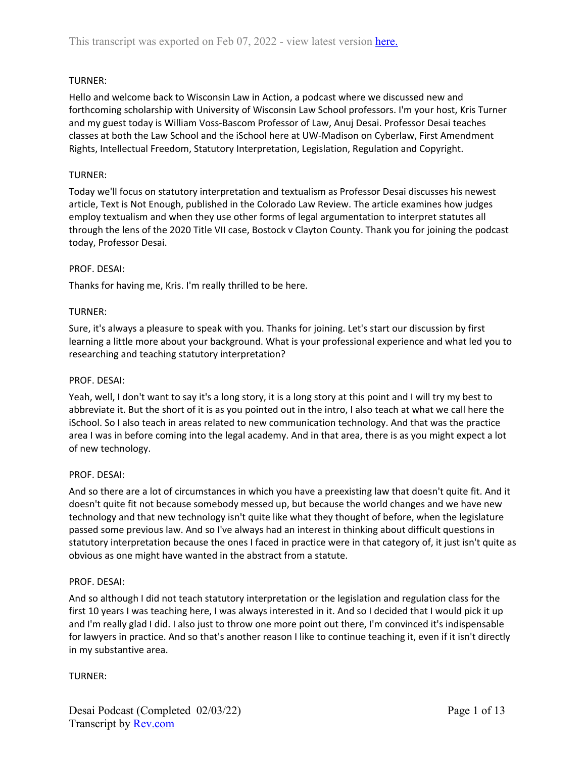# TURNER:

Hello and welcome back to Wisconsin Law in Action, a podcast where we discussed new and forthcoming scholarship with University of Wisconsin Law School professors. I'm your host, Kris Turner and my guest today is William Voss-Bascom Professor of Law, Anuj Desai. Professor Desai teaches classes at both the Law School and the iSchool here at UW-Madison on Cyberlaw, First Amendment Rights, Intellectual Freedom, Statutory Interpretation, Legislation, Regulation and Copyright.

# TURNER:

Today we'll focus on statutory interpretation and textualism as Professor Desai discusses his newest article, Text is Not Enough, published in the Colorado Law Review. The article examines how judges employ textualism and when they use other forms of legal argumentation to interpret statutes all through the lens of the 2020 Title VII case, Bostock v Clayton County. Thank you for joining the podcast today, Professor Desai.

# PROF. DESAI:

Thanks for having me, Kris. I'm really thrilled to be here.

# TURNER:

Sure, it's always a pleasure to speak with you. Thanks for joining. Let's start our discussion by first learning a little more about your background. What is your professional experience and what led you to researching and teaching statutory interpretation?

## PROF. DESAI:

Yeah, well, I don't want to say it's a long story, it is a long story at this point and I will try my best to abbreviate it. But the short of it is as you pointed out in the intro, I also teach at what we call here the iSchool. So I also teach in areas related to new communication technology. And that was the practice area I was in before coming into the legal academy. And in that area, there is as you might expect a lot of new technology.

## PROF. DESAI:

And so there are a lot of circumstances in which you have a preexisting law that doesn't quite fit. And it doesn't quite fit not because somebody messed up, but because the world changes and we have new technology and that new technology isn't quite like what they thought of before, when the legislature passed some previous law. And so I've always had an interest in thinking about difficult questions in statutory interpretation because the ones I faced in practice were in that category of, it just isn't quite as obvious as one might have wanted in the abstract from a statute.

## PROF. DESAI:

And so although I did not teach statutory interpretation or the legislation and regulation class for the first 10 years I was teaching here, I was always interested in it. And so I decided that I would pick it up and I'm really glad I did. I also just to throw one more point out there, I'm convinced it's indispensable for lawyers in practice. And so that's another reason I like to continue teaching it, even if it isn't directly in my substantive area.

## TURNER: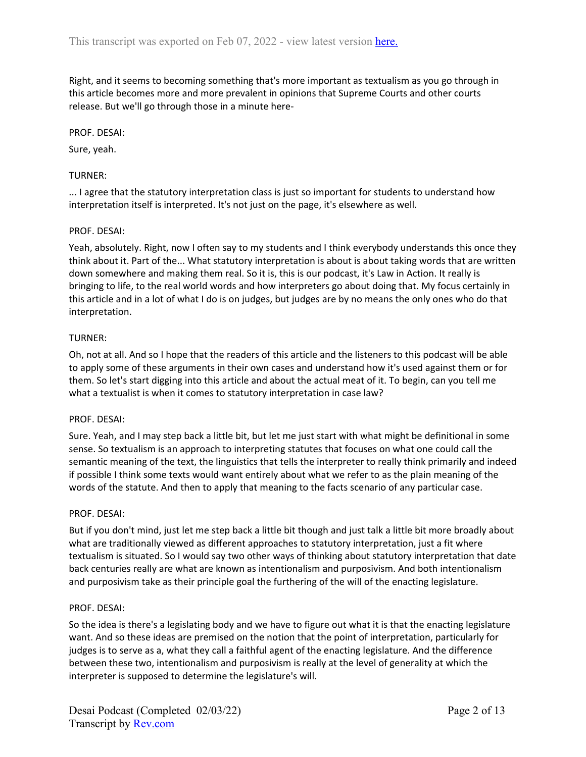Right, and it seems to becoming something that's more important as textualism as you go through in this article becomes more and more prevalent in opinions that Supreme Courts and other courts release. But we'll go through those in a minute here-

## PROF. DESAI:

Sure, yeah.

# TURNER:

... I agree that the statutory interpretation class is just so important for students to understand how interpretation itself is interpreted. It's not just on the page, it's elsewhere as well.

# PROF. DESAI:

Yeah, absolutely. Right, now I often say to my students and I think everybody understands this once they think about it. Part of the... What statutory interpretation is about is about taking words that are written down somewhere and making them real. So it is, this is our podcast, it's Law in Action. It really is bringing to life, to the real world words and how interpreters go about doing that. My focus certainly in this article and in a lot of what I do is on judges, but judges are by no means the only ones who do that interpretation.

# TURNER:

Oh, not at all. And so I hope that the readers of this article and the listeners to this podcast will be able to apply some of these arguments in their own cases and understand how it's used against them or for them. So let's start digging into this article and about the actual meat of it. To begin, can you tell me what a textualist is when it comes to statutory interpretation in case law?

## PROF. DESAI:

Sure. Yeah, and I may step back a little bit, but let me just start with what might be definitional in some sense. So textualism is an approach to interpreting statutes that focuses on what one could call the semantic meaning of the text, the linguistics that tells the interpreter to really think primarily and indeed if possible I think some texts would want entirely about what we refer to as the plain meaning of the words of the statute. And then to apply that meaning to the facts scenario of any particular case.

## PROF. DESAI:

But if you don't mind, just let me step back a little bit though and just talk a little bit more broadly about what are traditionally viewed as different approaches to statutory interpretation, just a fit where textualism is situated. So I would say two other ways of thinking about statutory interpretation that date back centuries really are what are known as intentionalism and purposivism. And both intentionalism and purposivism take as their principle goal the furthering of the will of the enacting legislature.

## PROF. DESAI:

So the idea is there's a legislating body and we have to figure out what it is that the enacting legislature want. And so these ideas are premised on the notion that the point of interpretation, particularly for judges is to serve as a, what they call a faithful agent of the enacting legislature. And the difference between these two, intentionalism and purposivism is really at the level of generality at which the interpreter is supposed to determine the legislature's will.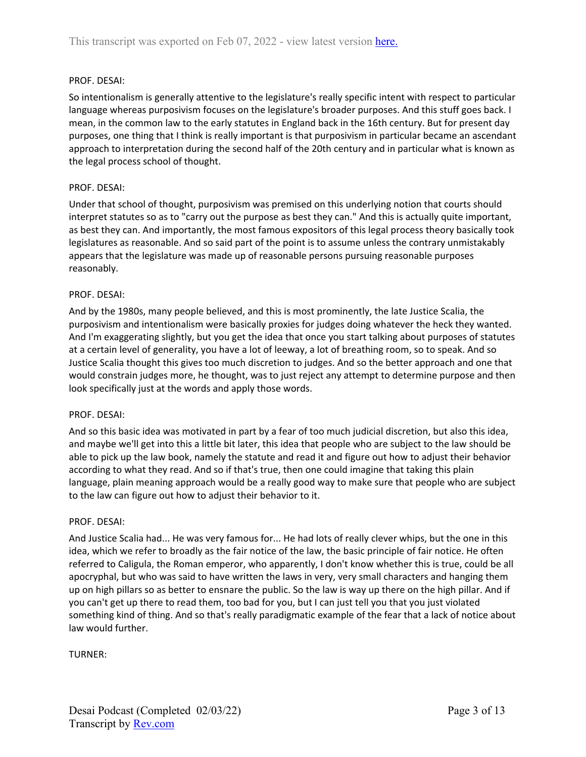## PROF. DESAI:

So intentionalism is generally attentive to the legislature's really specific intent with respect to particular language whereas purposivism focuses on the legislature's broader purposes. And this stuff goes back. I mean, in the common law to the early statutes in England back in the 16th century. But for present day purposes, one thing that I think is really important is that purposivism in particular became an ascendant approach to interpretation during the second half of the 20th century and in particular what is known as the legal process school of thought.

### PROF. DESAI:

Under that school of thought, purposivism was premised on this underlying notion that courts should interpret statutes so as to "carry out the purpose as best they can." And this is actually quite important, as best they can. And importantly, the most famous expositors of this legal process theory basically took legislatures as reasonable. And so said part of the point is to assume unless the contrary unmistakably appears that the legislature was made up of reasonable persons pursuing reasonable purposes reasonably.

### PROF. DESAI:

And by the 1980s, many people believed, and this is most prominently, the late Justice Scalia, the purposivism and intentionalism were basically proxies for judges doing whatever the heck they wanted. And I'm exaggerating slightly, but you get the idea that once you start talking about purposes of statutes at a certain level of generality, you have a lot of leeway, a lot of breathing room, so to speak. And so Justice Scalia thought this gives too much discretion to judges. And so the better approach and one that would constrain judges more, he thought, was to just reject any attempt to determine purpose and then look specifically just at the words and apply those words.

#### PROF. DESAI:

And so this basic idea was motivated in part by a fear of too much judicial discretion, but also this idea, and maybe we'll get into this a little bit later, this idea that people who are subject to the law should be able to pick up the law book, namely the statute and read it and figure out how to adjust their behavior according to what they read. And so if that's true, then one could imagine that taking this plain language, plain meaning approach would be a really good way to make sure that people who are subject to the law can figure out how to adjust their behavior to it.

#### PROF. DESAI:

And Justice Scalia had... He was very famous for... He had lots of really clever whips, but the one in this idea, which we refer to broadly as the fair notice of the law, the basic principle of fair notice. He often referred to Caligula, the Roman emperor, who apparently, I don't know whether this is true, could be all apocryphal, but who was said to have written the laws in very, very small characters and hanging them up on high pillars so as better to ensnare the public. So the law is way up there on the high pillar. And if you can't get up there to read them, too bad for you, but I can just tell you that you just violated something kind of thing. And so that's really paradigmatic example of the fear that a lack of notice about law would further.

TURNER: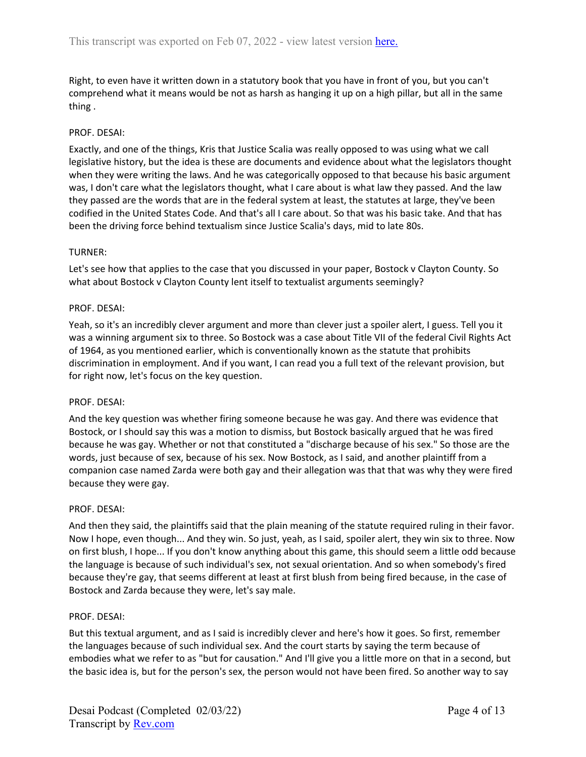Right, to even have it written down in a statutory book that you have in front of you, but you can't comprehend what it means would be not as harsh as hanging it up on a high pillar, but all in the same thing .

### PROF. DESAI:

Exactly, and one of the things, Kris that Justice Scalia was really opposed to was using what we call legislative history, but the idea is these are documents and evidence about what the legislators thought when they were writing the laws. And he was categorically opposed to that because his basic argument was, I don't care what the legislators thought, what I care about is what law they passed. And the law they passed are the words that are in the federal system at least, the statutes at large, they've been codified in the United States Code. And that's all I care about. So that was his basic take. And that has been the driving force behind textualism since Justice Scalia's days, mid to late 80s.

### TURNER:

Let's see how that applies to the case that you discussed in your paper, Bostock v Clayton County. So what about Bostock v Clayton County lent itself to textualist arguments seemingly?

### PROF. DESAI:

Yeah, so it's an incredibly clever argument and more than clever just a spoiler alert, I guess. Tell you it was a winning argument six to three. So Bostock was a case about Title VII of the federal Civil Rights Act of 1964, as you mentioned earlier, which is conventionally known as the statute that prohibits discrimination in employment. And if you want, I can read you a full text of the relevant provision, but for right now, let's focus on the key question.

#### PROF. DESAI:

And the key question was whether firing someone because he was gay. And there was evidence that Bostock, or I should say this was a motion to dismiss, but Bostock basically argued that he was fired because he was gay. Whether or not that constituted a "discharge because of his sex." So those are the words, just because of sex, because of his sex. Now Bostock, as I said, and another plaintiff from a companion case named Zarda were both gay and their allegation was that that was why they were fired because they were gay.

#### PROF. DESAI:

And then they said, the plaintiffs said that the plain meaning of the statute required ruling in their favor. Now I hope, even though... And they win. So just, yeah, as I said, spoiler alert, they win six to three. Now on first blush, I hope... If you don't know anything about this game, this should seem a little odd because the language is because of such individual's sex, not sexual orientation. And so when somebody's fired because they're gay, that seems different at least at first blush from being fired because, in the case of Bostock and Zarda because they were, let's say male.

#### PROF. DESAI:

But this textual argument, and as I said is incredibly clever and here's how it goes. So first, remember the languages because of such individual sex. And the court starts by saying the term because of embodies what we refer to as "but for causation." And I'll give you a little more on that in a second, but the basic idea is, but for the person's sex, the person would not have been fired. So another way to say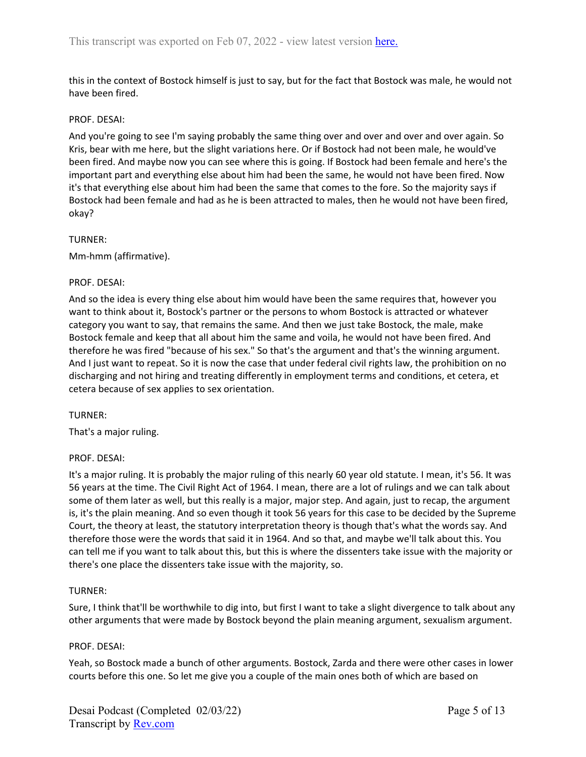this in the context of Bostock himself is just to say, but for the fact that Bostock was male, he would not have been fired.

### PROF. DESAI:

And you're going to see I'm saying probably the same thing over and over and over and over again. So Kris, bear with me here, but the slight variations here. Or if Bostock had not been male, he would've been fired. And maybe now you can see where this is going. If Bostock had been female and here's the important part and everything else about him had been the same, he would not have been fired. Now it's that everything else about him had been the same that comes to the fore. So the majority says if Bostock had been female and had as he is been attracted to males, then he would not have been fired, okay?

### TURNER:

Mm-hmm (affirmative).

### PROF. DESAI:

And so the idea is every thing else about him would have been the same requires that, however you want to think about it, Bostock's partner or the persons to whom Bostock is attracted or whatever category you want to say, that remains the same. And then we just take Bostock, the male, make Bostock female and keep that all about him the same and voila, he would not have been fired. And therefore he was fired "because of his sex." So that's the argument and that's the winning argument. And I just want to repeat. So it is now the case that under federal civil rights law, the prohibition on no discharging and not hiring and treating differently in employment terms and conditions, et cetera, et cetera because of sex applies to sex orientation.

## TURNER:

That's a major ruling.

#### PROF. DESAI:

It's a major ruling. It is probably the major ruling of this nearly 60 year old statute. I mean, it's 56. It was 56 years at the time. The Civil Right Act of 1964. I mean, there are a lot of rulings and we can talk about some of them later as well, but this really is a major, major step. And again, just to recap, the argument is, it's the plain meaning. And so even though it took 56 years for this case to be decided by the Supreme Court, the theory at least, the statutory interpretation theory is though that's what the words say. And therefore those were the words that said it in 1964. And so that, and maybe we'll talk about this. You can tell me if you want to talk about this, but this is where the dissenters take issue with the majority or there's one place the dissenters take issue with the majority, so.

## TURNER:

Sure, I think that'll be worthwhile to dig into, but first I want to take a slight divergence to talk about any other arguments that were made by Bostock beyond the plain meaning argument, sexualism argument.

#### PROF. DESAI:

Yeah, so Bostock made a bunch of other arguments. Bostock, Zarda and there were other cases in lower courts before this one. So let me give you a couple of the main ones both of which are based on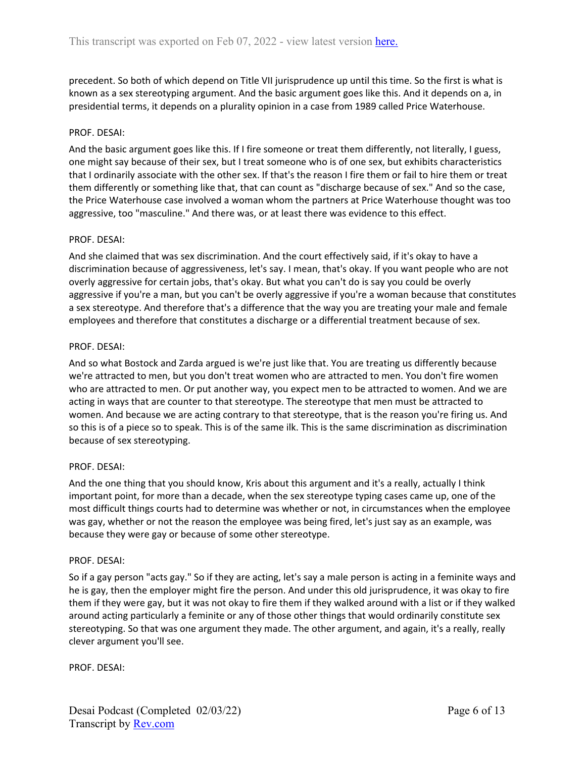precedent. So both of which depend on Title VII jurisprudence up until this time. So the first is what is known as a sex stereotyping argument. And the basic argument goes like this. And it depends on a, in presidential terms, it depends on a plurality opinion in a case from 1989 called Price Waterhouse.

### PROF. DESAI:

And the basic argument goes like this. If I fire someone or treat them differently, not literally, I guess, one might say because of their sex, but I treat someone who is of one sex, but exhibits characteristics that I ordinarily associate with the other sex. If that's the reason I fire them or fail to hire them or treat them differently or something like that, that can count as "discharge because of sex." And so the case, the Price Waterhouse case involved a woman whom the partners at Price Waterhouse thought was too aggressive, too "masculine." And there was, or at least there was evidence to this effect.

### PROF. DESAI:

And she claimed that was sex discrimination. And the court effectively said, if it's okay to have a discrimination because of aggressiveness, let's say. I mean, that's okay. If you want people who are not overly aggressive for certain jobs, that's okay. But what you can't do is say you could be overly aggressive if you're a man, but you can't be overly aggressive if you're a woman because that constitutes a sex stereotype. And therefore that's a difference that the way you are treating your male and female employees and therefore that constitutes a discharge or a differential treatment because of sex.

### PROF. DESAI:

And so what Bostock and Zarda argued is we're just like that. You are treating us differently because we're attracted to men, but you don't treat women who are attracted to men. You don't fire women who are attracted to men. Or put another way, you expect men to be attracted to women. And we are acting in ways that are counter to that stereotype. The stereotype that men must be attracted to women. And because we are acting contrary to that stereotype, that is the reason you're firing us. And so this is of a piece so to speak. This is of the same ilk. This is the same discrimination as discrimination because of sex stereotyping.

#### PROF. DESAI:

And the one thing that you should know, Kris about this argument and it's a really, actually I think important point, for more than a decade, when the sex stereotype typing cases came up, one of the most difficult things courts had to determine was whether or not, in circumstances when the employee was gay, whether or not the reason the employee was being fired, let's just say as an example, was because they were gay or because of some other stereotype.

#### PROF. DESAI:

So if a gay person "acts gay." So if they are acting, let's say a male person is acting in a feminite ways and he is gay, then the employer might fire the person. And under this old jurisprudence, it was okay to fire them if they were gay, but it was not okay to fire them if they walked around with a list or if they walked around acting particularly a feminite or any of those other things that would ordinarily constitute sex stereotyping. So that was one argument they made. The other argument, and again, it's a really, really clever argument you'll see.

PROF. DESAI: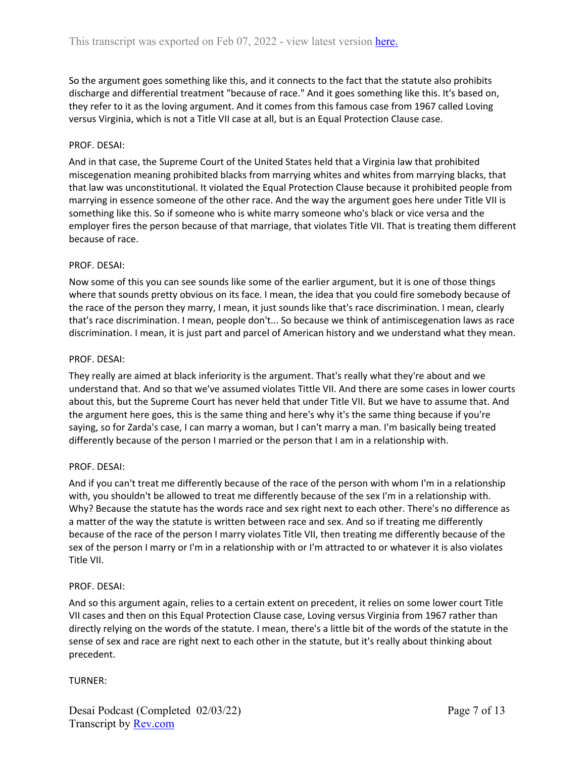So the argument goes something like this, and it connects to the fact that the statute also prohibits discharge and differential treatment "because of race." And it goes something like this. It's based on, they refer to it as the loving argument. And it comes from this famous case from 1967 called Loving versus Virginia, which is not a Title VII case at all, but is an Equal Protection Clause case.

# PROF. DESAI:

And in that case, the Supreme Court of the United States held that a Virginia law that prohibited miscegenation meaning prohibited blacks from marrying whites and whites from marrying blacks, that that law was unconstitutional. It violated the Equal Protection Clause because it prohibited people from marrying in essence someone of the other race. And the way the argument goes here under Title VII is something like this. So if someone who is white marry someone who's black or vice versa and the employer fires the person because of that marriage, that violates Title VII. That is treating them different because of race.

## PROF. DESAI:

Now some of this you can see sounds like some of the earlier argument, but it is one of those things where that sounds pretty obvious on its face. I mean, the idea that you could fire somebody because of the race of the person they marry, I mean, it just sounds like that's race discrimination. I mean, clearly that's race discrimination. I mean, people don't... So because we think of antimiscegenation laws as race discrimination. I mean, it is just part and parcel of American history and we understand what they mean.

## PROF. DESAI:

They really are aimed at black inferiority is the argument. That's really what they're about and we understand that. And so that we've assumed violates Tittle VII. And there are some cases in lower courts about this, but the Supreme Court has never held that under Title VII. But we have to assume that. And the argument here goes, this is the same thing and here's why it's the same thing because if you're saying, so for Zarda's case, I can marry a woman, but I can't marry a man. I'm basically being treated differently because of the person I married or the person that I am in a relationship with.

## PROF. DESAI:

And if you can't treat me differently because of the race of the person with whom I'm in a relationship with, you shouldn't be allowed to treat me differently because of the sex I'm in a relationship with. Why? Because the statute has the words race and sex right next to each other. There's no difference as a matter of the way the statute is written between race and sex. And so if treating me differently because of the race of the person I marry violates Title VII, then treating me differently because of the sex of the person I marry or I'm in a relationship with or I'm attracted to or whatever it is also violates Title VII.

## PROF. DESAI:

And so this argument again, relies to a certain extent on precedent, it relies on some lower court Title VII cases and then on this Equal Protection Clause case, Loving versus Virginia from 1967 rather than directly relying on the words of the statute. I mean, there's a little bit of the words of the statute in the sense of sex and race are right next to each other in the statute, but it's really about thinking about precedent.

## TURNER: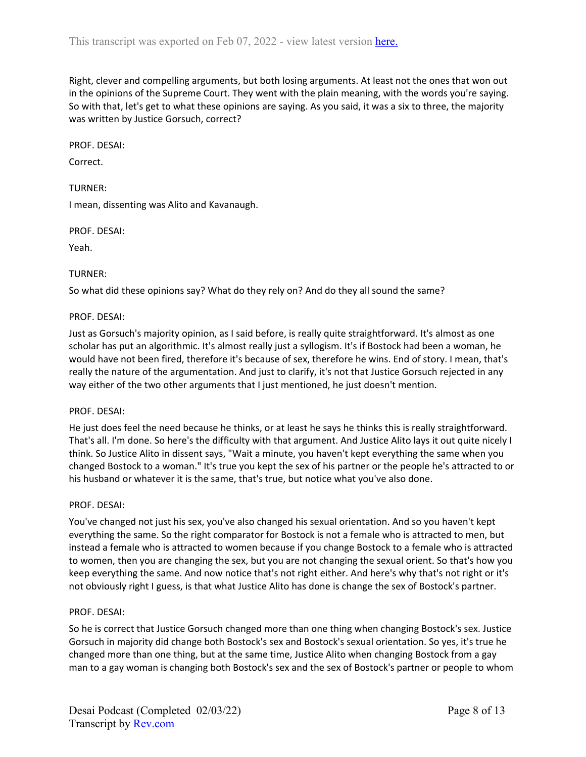Right, clever and compelling arguments, but both losing arguments. At least not the ones that won out in the opinions of the Supreme Court. They went with the plain meaning, with the words you're saying. So with that, let's get to what these opinions are saying. As you said, it was a six to three, the majority was written by Justice Gorsuch, correct?

PROF. DESAI:

Correct.

TURNER:

I mean, dissenting was Alito and Kavanaugh.

PROF. DESAI:

Yeah.

## TURNER:

So what did these opinions say? What do they rely on? And do they all sound the same?

PROF. DESAI:

Just as Gorsuch's majority opinion, as I said before, is really quite straightforward. It's almost as one scholar has put an algorithmic. It's almost really just a syllogism. It's if Bostock had been a woman, he would have not been fired, therefore it's because of sex, therefore he wins. End of story. I mean, that's really the nature of the argumentation. And just to clarify, it's not that Justice Gorsuch rejected in any way either of the two other arguments that I just mentioned, he just doesn't mention.

#### PROF. DESAI:

He just does feel the need because he thinks, or at least he says he thinks this is really straightforward. That's all. I'm done. So here's the difficulty with that argument. And Justice Alito lays it out quite nicely I think. So Justice Alito in dissent says, "Wait a minute, you haven't kept everything the same when you changed Bostock to a woman." It's true you kept the sex of his partner or the people he's attracted to or his husband or whatever it is the same, that's true, but notice what you've also done.

#### PROF. DESAI:

You've changed not just his sex, you've also changed his sexual orientation. And so you haven't kept everything the same. So the right comparator for Bostock is not a female who is attracted to men, but instead a female who is attracted to women because if you change Bostock to a female who is attracted to women, then you are changing the sex, but you are not changing the sexual orient. So that's how you keep everything the same. And now notice that's not right either. And here's why that's not right or it's not obviously right I guess, is that what Justice Alito has done is change the sex of Bostock's partner.

#### PROF. DESAI:

So he is correct that Justice Gorsuch changed more than one thing when changing Bostock's sex. Justice Gorsuch in majority did change both Bostock's sex and Bostock's sexual orientation. So yes, it's true he changed more than one thing, but at the same time, Justice Alito when changing Bostock from a gay man to a gay woman is changing both Bostock's sex and the sex of Bostock's partner or people to whom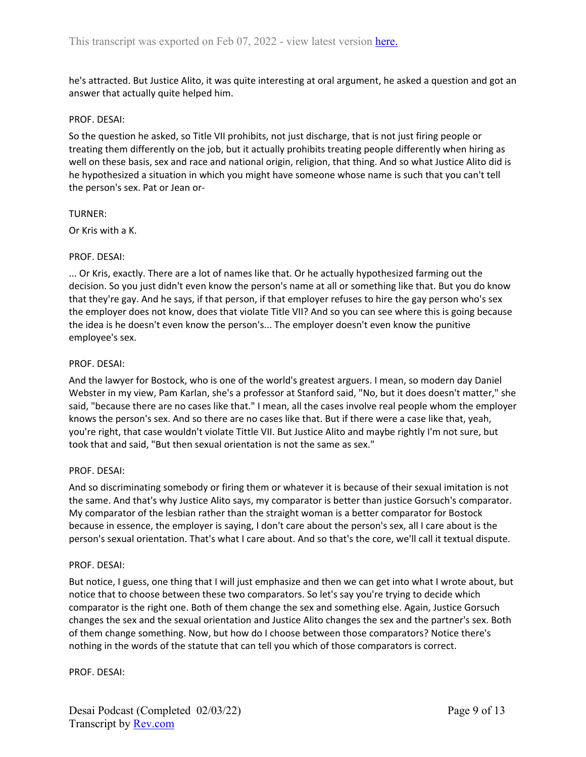he's attracted. But Justice Alito, it was quite interesting at oral argument, he asked a question and got an answer that actually quite helped him.

## PROF. DESAI:

So the question he asked, so Title VII prohibits, not just discharge, that is not just firing people or treating them differently on the job, but it actually prohibits treating people differently when hiring as well on these basis, sex and race and national origin, religion, that thing. And so what Justice Alito did is he hypothesized a situation in which you might have someone whose name is such that you can't tell the person's sex. Pat or Jean or-

## TURNER:

Or Kris with a K.

# PROF. DESAI:

... Or Kris, exactly. There are a lot of names like that. Or he actually hypothesized farming out the decision. So you just didn't even know the person's name at all or something like that. But you do know that they're gay. And he says, if that person, if that employer refuses to hire the gay person who's sex the employer does not know, does that violate Title VII? And so you can see where this is going because the idea is he doesn't even know the person's... The employer doesn't even know the punitive employee's sex.

# PROF. DESAI:

And the lawyer for Bostock, who is one of the world's greatest arguers. I mean, so modern day Daniel Webster in my view, Pam Karlan, she's a professor at Stanford said, "No, but it does doesn't matter," she said, "because there are no cases like that." I mean, all the cases involve real people whom the employer knows the person's sex. And so there are no cases like that. But if there were a case like that, yeah, you're right, that case wouldn't violate Tittle VII. But Justice Alito and maybe rightly I'm not sure, but took that and said, "But then sexual orientation is not the same as sex."

## PROF. DESAI:

And so discriminating somebody or firing them or whatever it is because of their sexual imitation is not the same. And that's why Justice Alito says, my comparator is better than justice Gorsuch's comparator. My comparator of the lesbian rather than the straight woman is a better comparator for Bostock because in essence, the employer is saying, I don't care about the person's sex, all I care about is the person's sexual orientation. That's what I care about. And so that's the core, we'll call it textual dispute.

## PROF. DESAI:

But notice, I guess, one thing that I will just emphasize and then we can get into what I wrote about, but notice that to choose between these two comparators. So let's say you're trying to decide which comparator is the right one. Both of them change the sex and something else. Again, Justice Gorsuch changes the sex and the sexual orientation and Justice Alito changes the sex and the partner's sex. Both of them change something. Now, but how do I choose between those comparators? Notice there's nothing in the words of the statute that can tell you which of those comparators is correct.

PROF. DESAI: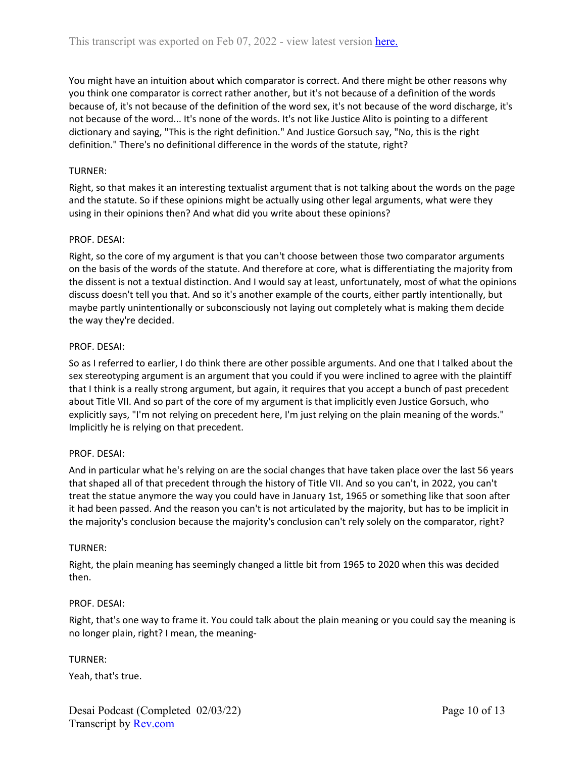You might have an intuition about which comparator is correct. And there might be other reasons why you think one comparator is correct rather another, but it's not because of a definition of the words because of, it's not because of the definition of the word sex, it's not because of the word discharge, it's not because of the word... It's none of the words. It's not like Justice Alito is pointing to a different dictionary and saying, "This is the right definition." And Justice Gorsuch say, "No, this is the right definition." There's no definitional difference in the words of the statute, right?

# TURNER:

Right, so that makes it an interesting textualist argument that is not talking about the words on the page and the statute. So if these opinions might be actually using other legal arguments, what were they using in their opinions then? And what did you write about these opinions?

# PROF. DESAI:

Right, so the core of my argument is that you can't choose between those two comparator arguments on the basis of the words of the statute. And therefore at core, what is differentiating the majority from the dissent is not a textual distinction. And I would say at least, unfortunately, most of what the opinions discuss doesn't tell you that. And so it's another example of the courts, either partly intentionally, but maybe partly unintentionally or subconsciously not laying out completely what is making them decide the way they're decided.

## PROF. DESAI:

So as I referred to earlier, I do think there are other possible arguments. And one that I talked about the sex stereotyping argument is an argument that you could if you were inclined to agree with the plaintiff that I think is a really strong argument, but again, it requires that you accept a bunch of past precedent about Title VII. And so part of the core of my argument is that implicitly even Justice Gorsuch, who explicitly says, "I'm not relying on precedent here, I'm just relying on the plain meaning of the words." Implicitly he is relying on that precedent.

## PROF. DESAI:

And in particular what he's relying on are the social changes that have taken place over the last 56 years that shaped all of that precedent through the history of Title VII. And so you can't, in 2022, you can't treat the statue anymore the way you could have in January 1st, 1965 or something like that soon after it had been passed. And the reason you can't is not articulated by the majority, but has to be implicit in the majority's conclusion because the majority's conclusion can't rely solely on the comparator, right?

## TURNER:

Right, the plain meaning has seemingly changed a little bit from 1965 to 2020 when this was decided then.

## PROF. DESAI:

Right, that's one way to frame it. You could talk about the plain meaning or you could say the meaning is no longer plain, right? I mean, the meaning-

## TURNER:

Yeah, that's true.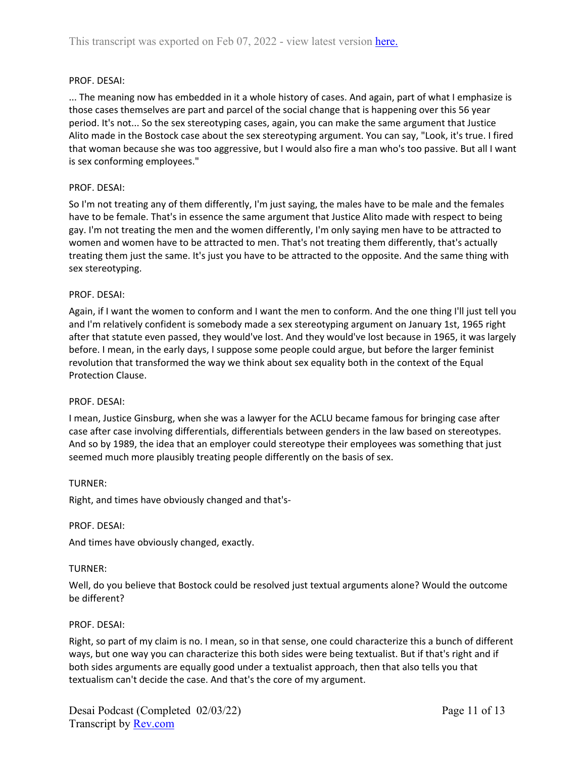## PROF. DESAI:

... The meaning now has embedded in it a whole history of cases. And again, part of what I emphasize is those cases themselves are part and parcel of the social change that is happening over this 56 year period. It's not... So the sex stereotyping cases, again, you can make the same argument that Justice Alito made in the Bostock case about the sex stereotyping argument. You can say, "Look, it's true. I fired that woman because she was too aggressive, but I would also fire a man who's too passive. But all I want is sex conforming employees."

## PROF. DESAI:

So I'm not treating any of them differently, I'm just saying, the males have to be male and the females have to be female. That's in essence the same argument that Justice Alito made with respect to being gay. I'm not treating the men and the women differently, I'm only saying men have to be attracted to women and women have to be attracted to men. That's not treating them differently, that's actually treating them just the same. It's just you have to be attracted to the opposite. And the same thing with sex stereotyping.

### PROF. DESAI:

Again, if I want the women to conform and I want the men to conform. And the one thing I'll just tell you and I'm relatively confident is somebody made a sex stereotyping argument on January 1st, 1965 right after that statute even passed, they would've lost. And they would've lost because in 1965, it was largely before. I mean, in the early days, I suppose some people could argue, but before the larger feminist revolution that transformed the way we think about sex equality both in the context of the Equal Protection Clause.

#### PROF. DESAI:

I mean, Justice Ginsburg, when she was a lawyer for the ACLU became famous for bringing case after case after case involving differentials, differentials between genders in the law based on stereotypes. And so by 1989, the idea that an employer could stereotype their employees was something that just seemed much more plausibly treating people differently on the basis of sex.

#### TURNER:

Right, and times have obviously changed and that's-

#### PROF. DESAI:

And times have obviously changed, exactly.

#### TURNER:

Well, do you believe that Bostock could be resolved just textual arguments alone? Would the outcome be different?

#### PROF. DESAI:

Right, so part of my claim is no. I mean, so in that sense, one could characterize this a bunch of different ways, but one way you can characterize this both sides were being textualist. But if that's right and if both sides arguments are equally good under a textualist approach, then that also tells you that textualism can't decide the case. And that's the core of my argument.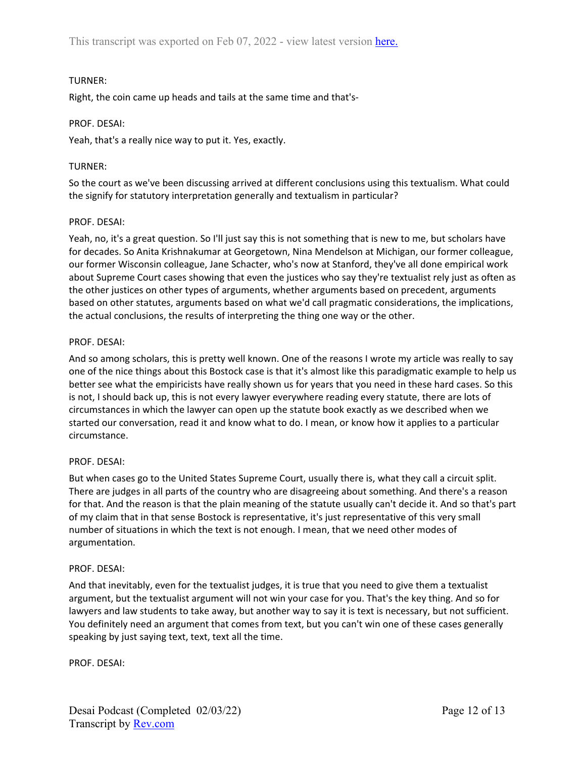# TURNER:

Right, the coin came up heads and tails at the same time and that's-

## PROF. DESAI:

Yeah, that's a really nice way to put it. Yes, exactly.

# TURNER:

So the court as we've been discussing arrived at different conclusions using this textualism. What could the signify for statutory interpretation generally and textualism in particular?

## PROF. DESAI:

Yeah, no, it's a great question. So I'll just say this is not something that is new to me, but scholars have for decades. So Anita Krishnakumar at Georgetown, Nina Mendelson at Michigan, our former colleague, our former Wisconsin colleague, Jane Schacter, who's now at Stanford, they've all done empirical work about Supreme Court cases showing that even the justices who say they're textualist rely just as often as the other justices on other types of arguments, whether arguments based on precedent, arguments based on other statutes, arguments based on what we'd call pragmatic considerations, the implications, the actual conclusions, the results of interpreting the thing one way or the other.

# PROF. DESAI:

And so among scholars, this is pretty well known. One of the reasons I wrote my article was really to say one of the nice things about this Bostock case is that it's almost like this paradigmatic example to help us better see what the empiricists have really shown us for years that you need in these hard cases. So this is not, I should back up, this is not every lawyer everywhere reading every statute, there are lots of circumstances in which the lawyer can open up the statute book exactly as we described when we started our conversation, read it and know what to do. I mean, or know how it applies to a particular circumstance.

## PROF. DESAI:

But when cases go to the United States Supreme Court, usually there is, what they call a circuit split. There are judges in all parts of the country who are disagreeing about something. And there's a reason for that. And the reason is that the plain meaning of the statute usually can't decide it. And so that's part of my claim that in that sense Bostock is representative, it's just representative of this very small number of situations in which the text is not enough. I mean, that we need other modes of argumentation.

## PROF. DESAI:

And that inevitably, even for the textualist judges, it is true that you need to give them a textualist argument, but the textualist argument will not win your case for you. That's the key thing. And so for lawyers and law students to take away, but another way to say it is text is necessary, but not sufficient. You definitely need an argument that comes from text, but you can't win one of these cases generally speaking by just saying text, text, text all the time.

PROF. DESAI: